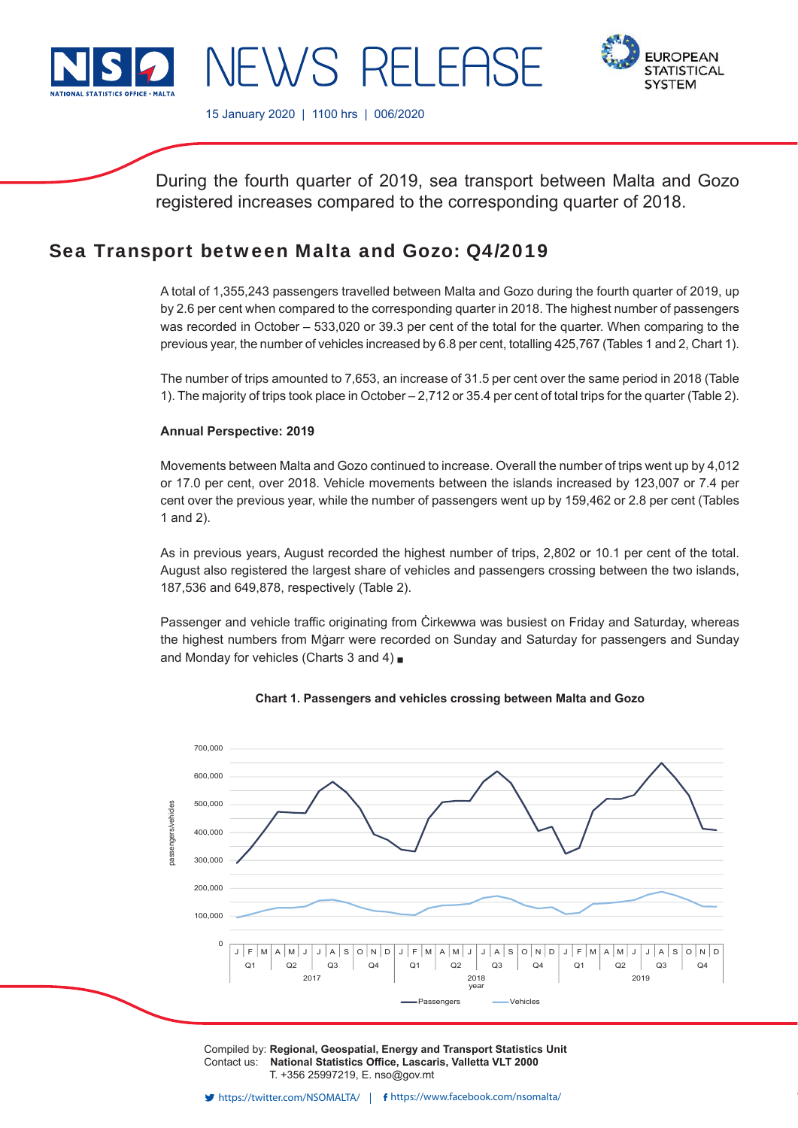

**FUROPEAN STATISTICAL SYSTEM** 

15 January 2020 | 1100 hrs | 006/2020

NEWS RELEASE

During the fourth quarter of 2019, sea transport between Malta and Gozo registered increases compared to the corresponding quarter of 2018.

## Sea Transport between Malta and Gozo: Q4/2019

A total of 1,355,243 passengers travelled between Malta and Gozo during the fourth quarter of 2019, up by 2.6 per cent when compared to the corresponding quarter in 2018. The highest number of passengers was recorded in October – 533,020 or 39.3 per cent of the total for the quarter. When comparing to the previous year, the number of vehicles increased by 6.8 per cent, totalling 425,767 (Tables 1 and 2, Chart 1).

The number of trips amounted to 7,653, an increase of 31.5 per cent over the same period in 2018 (Table 1). The majority of trips took place in October – 2,712 or 35.4 per cent of total trips for the quarter (Table 2).

### **Annual Perspective: 2019**

Movements between Malta and Gozo continued to increase. Overall the number of trips went up by 4,012 or 17.0 per cent, over 2018. Vehicle movements between the islands increased by 123,007 or 7.4 per cent over the previous year, while the number of passengers went up by 159,462 or 2.8 per cent (Tables 1 and 2).

As in previous years, August recorded the highest number of trips, 2,802 or 10.1 per cent of the total. August also registered the largest share of vehicles and passengers crossing between the two islands, 187,536 and 649,878, respectively (Table 2).

Passenger and vehicle traffic originating from Cirkewwa was busiest on Friday and Saturday, whereas the highest numbers from Mġarr were recorded on Sunday and Saturday for passengers and Sunday and Monday for vehicles (Charts 3 and 4)  $\blacksquare$ 



**Chart 1. Passengers and vehicles crossing between Malta and Gozo**

Compiled by: **Regional, Geospatial, Energy and Transport Statistics Unit** Contact us: National Statistics Office, Lascaris, Valletta VLT 2000 T. +356 25997219, E. nso@gov.mt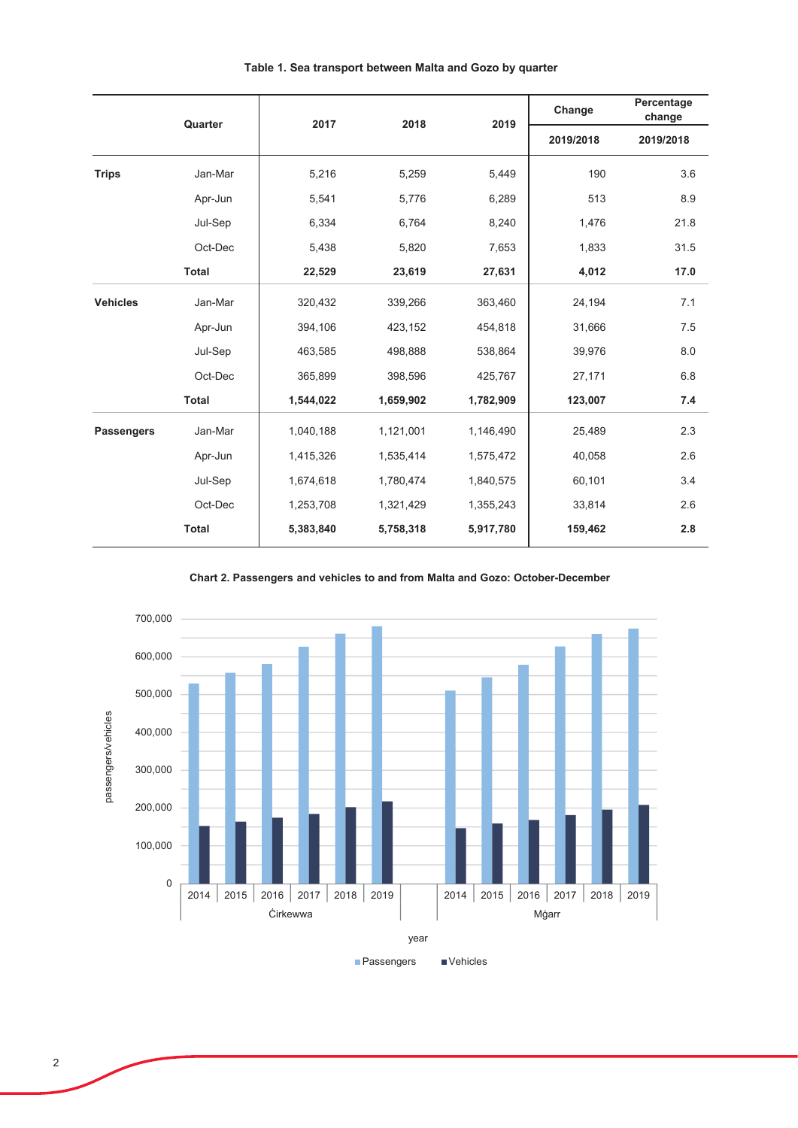|                   | Quarter      | 2017      | 2018      | 2019      | Change    | Percentage<br>change |  |
|-------------------|--------------|-----------|-----------|-----------|-----------|----------------------|--|
|                   |              |           |           |           | 2019/2018 | 2019/2018            |  |
| <b>Trips</b>      | Jan-Mar      | 5,216     | 5,259     | 5,449     | 190       | 3.6                  |  |
|                   | Apr-Jun      | 5,541     | 5,776     | 6,289     | 513       | 8.9                  |  |
|                   | Jul-Sep      | 6,334     | 6,764     | 8,240     | 1,476     | 21.8                 |  |
|                   | Oct-Dec      | 5,438     | 5,820     | 7,653     | 1,833     | 31.5                 |  |
|                   | <b>Total</b> | 22,529    | 23,619    | 27,631    | 4,012     | 17.0                 |  |
| <b>Vehicles</b>   | Jan-Mar      | 320,432   | 339,266   | 363,460   | 24,194    | 7.1                  |  |
|                   | Apr-Jun      | 394,106   | 423,152   | 454,818   | 31,666    | 7.5                  |  |
|                   | Jul-Sep      | 463,585   | 498,888   | 538,864   | 39,976    | 8.0                  |  |
|                   | Oct-Dec      | 365,899   | 398,596   | 425,767   | 27,171    | 6.8                  |  |
|                   | <b>Total</b> | 1,544,022 | 1,659,902 | 1,782,909 | 123,007   | 7.4                  |  |
| <b>Passengers</b> | Jan-Mar      | 1,040,188 | 1,121,001 | 1,146,490 | 25,489    | 2.3                  |  |
|                   | Apr-Jun      | 1,415,326 | 1,535,414 | 1,575,472 | 40,058    | 2.6                  |  |
|                   | Jul-Sep      | 1,674,618 | 1,780,474 | 1,840,575 | 60,101    | 3.4                  |  |
|                   | Oct-Dec      | 1,253,708 | 1,321,429 | 1,355,243 | 33,814    | 2.6                  |  |
|                   | <b>Total</b> | 5,383,840 | 5,758,318 | 5,917,780 | 159,462   | 2.8                  |  |

Table 1. Sea transport between Malta and Gozo by quarter



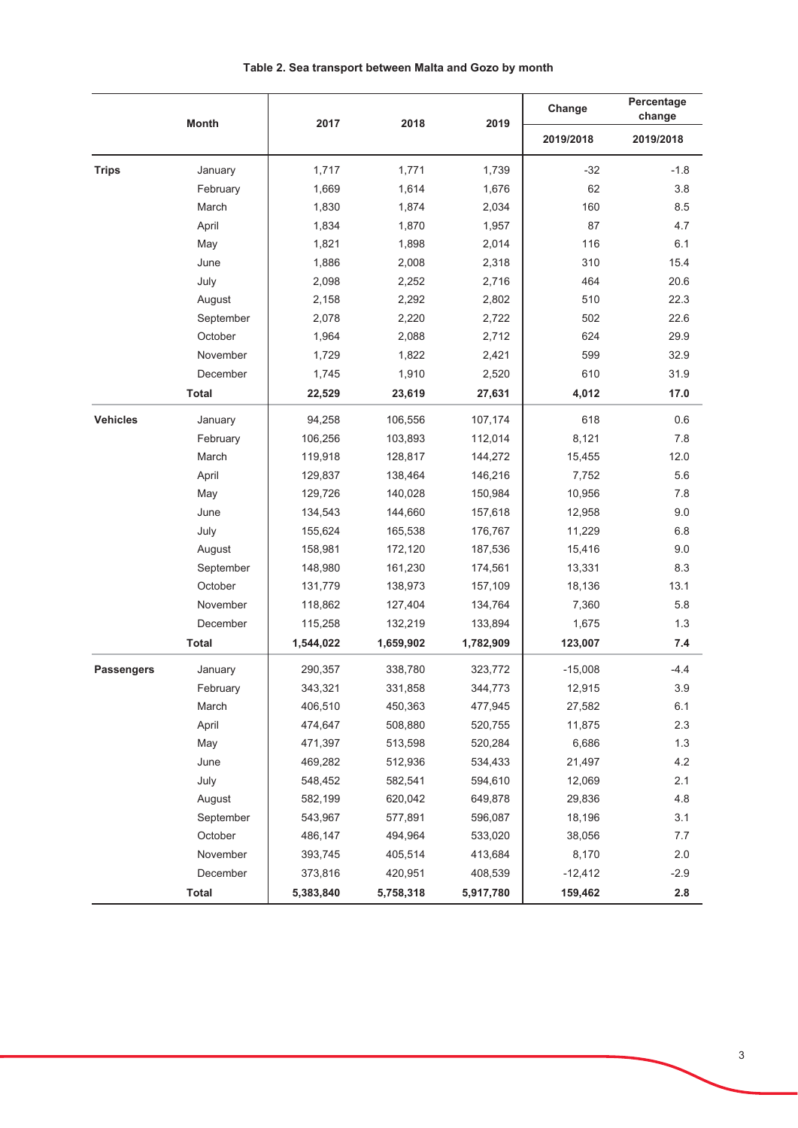|                   | <b>Month</b> | 2017      | 2018      | 2019      | Change    | Percentage<br>change |  |
|-------------------|--------------|-----------|-----------|-----------|-----------|----------------------|--|
|                   |              |           |           |           | 2019/2018 | 2019/2018            |  |
| <b>Trips</b>      | January      | 1,717     | 1,771     | 1,739     | $-32$     | $-1.8$               |  |
|                   | February     | 1,669     | 1,614     | 1,676     | 62        | 3.8                  |  |
|                   | March        | 1,830     | 1,874     | 2,034     | 160       | 8.5                  |  |
|                   | April        | 1,834     | 1,870     | 1,957     | 87        | 4.7                  |  |
|                   | May          | 1,821     | 1,898     | 2,014     | 116       | 6.1                  |  |
|                   | June         | 1,886     | 2,008     | 2,318     | 310       | 15.4                 |  |
|                   | July         | 2,098     | 2,252     | 2,716     | 464       | 20.6                 |  |
|                   | August       | 2,158     | 2,292     | 2,802     | 510       | 22.3                 |  |
|                   | September    | 2,078     | 2,220     | 2,722     | 502       | 22.6                 |  |
|                   | October      | 1,964     | 2,088     | 2,712     | 624       | 29.9                 |  |
|                   | November     | 1,729     | 1,822     | 2,421     | 599       | 32.9                 |  |
|                   | December     | 1,745     | 1,910     | 2,520     | 610       | 31.9                 |  |
|                   | <b>Total</b> | 22,529    | 23,619    | 27,631    | 4,012     | 17.0                 |  |
| <b>Vehicles</b>   | January      | 94,258    | 106,556   | 107,174   | 618       | 0.6                  |  |
|                   | February     | 106,256   | 103,893   | 112,014   | 8,121     | 7.8                  |  |
|                   | March        | 119,918   | 128,817   | 144,272   | 15,455    | 12.0                 |  |
|                   | April        | 129,837   | 138,464   | 146,216   | 7,752     | 5.6                  |  |
|                   | May          | 129,726   | 140,028   | 150,984   | 10,956    | 7.8                  |  |
|                   | June         | 134,543   | 144,660   | 157,618   | 12,958    | 9.0                  |  |
|                   | July         | 155,624   | 165,538   | 176,767   | 11,229    | 6.8                  |  |
|                   | August       | 158,981   | 172,120   | 187,536   | 15,416    | 9.0                  |  |
|                   | September    | 148,980   | 161,230   | 174,561   | 13,331    | 8.3                  |  |
|                   | October      | 131,779   | 138,973   | 157,109   | 18,136    | 13.1                 |  |
|                   | November     | 118,862   | 127,404   | 134,764   | 7,360     | 5.8                  |  |
|                   | December     | 115,258   | 132,219   | 133,894   | 1,675     | 1.3                  |  |
|                   | Total        | 1,544,022 | 1,659,902 | 1,782,909 | 123,007   | 7.4                  |  |
| <b>Passengers</b> | January      | 290,357   | 338,780   | 323,772   | $-15,008$ | $-4.4$               |  |
|                   | February     | 343,321   | 331,858   | 344,773   | 12,915    | 3.9                  |  |
|                   | March        | 406,510   | 450,363   | 477,945   | 27,582    | 6.1                  |  |
|                   | April        | 474,647   | 508,880   | 520,755   | 11,875    | $2.3\,$              |  |
|                   | May          | 471,397   | 513,598   | 520,284   | 6,686     | 1.3                  |  |
|                   | June         | 469,282   | 512,936   | 534,433   | 21,497    | 4.2                  |  |
|                   | July         | 548,452   | 582,541   | 594,610   | 12,069    | 2.1                  |  |
|                   | August       | 582,199   | 620,042   | 649,878   | 29,836    | 4.8                  |  |
|                   | September    | 543,967   | 577,891   | 596,087   | 18,196    | 3.1                  |  |
|                   | October      | 486,147   | 494,964   | 533,020   | 38,056    | $7.7\,$              |  |
|                   | November     | 393,745   | 405,514   | 413,684   | 8,170     | $2.0\,$              |  |
|                   | December     | 373,816   | 420,951   | 408,539   | $-12,412$ | $-2.9$               |  |
|                   | <b>Total</b> | 5,383,840 | 5,758,318 | 5,917,780 | 159,462   | $2.8\,$              |  |

Table 2. Sea transport between Malta and Gozo by month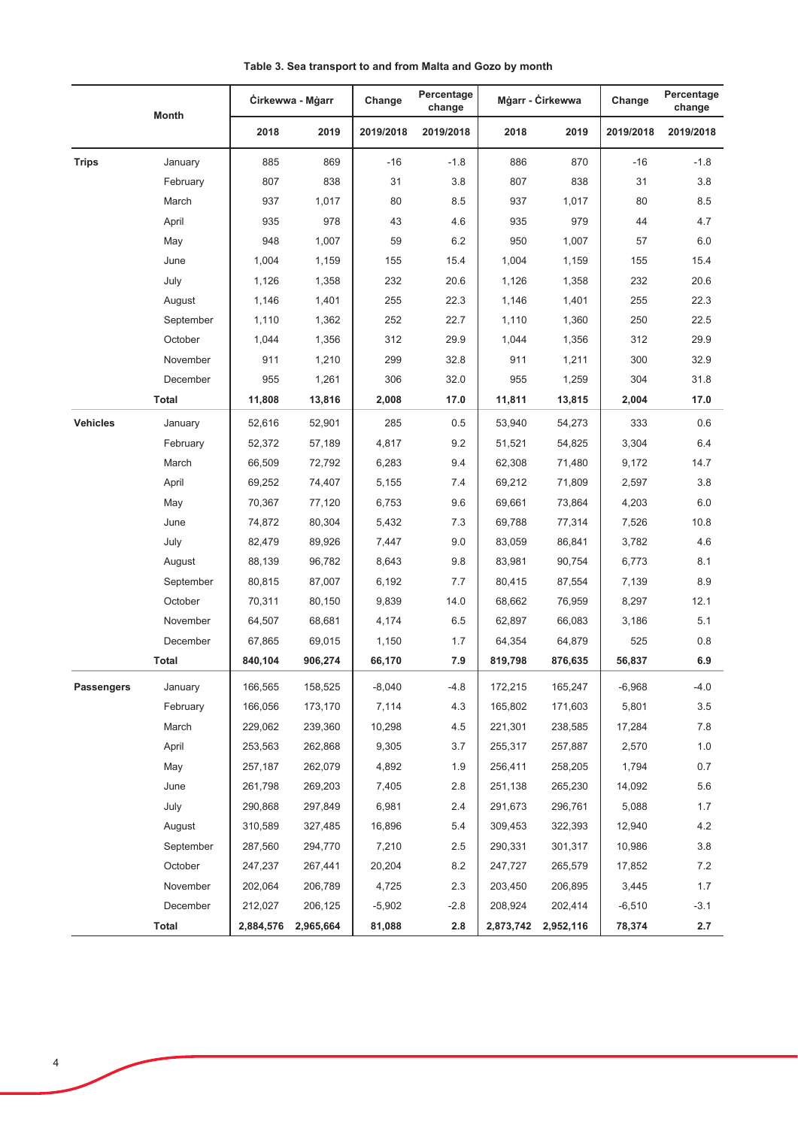|                 | <b>Month</b> | Cirkewwa - Mgarr |           | Percentage<br>Change<br>change |           | Mġarr - Ċirkewwa |           | Change    | Percentage<br>change |
|-----------------|--------------|------------------|-----------|--------------------------------|-----------|------------------|-----------|-----------|----------------------|
|                 |              | 2018             | 2019      | 2019/2018                      | 2019/2018 | 2018             | 2019      | 2019/2018 | 2019/2018            |
| <b>Trips</b>    | January      | 885              | 869       | $-16$                          | $-1.8$    | 886              | 870       | $-16$     | $-1.8$               |
|                 | February     | 807              | 838       | 31                             | 3.8       | 807              | 838       | 31        | 3.8                  |
|                 | March        | 937              | 1,017     | 80                             | 8.5       | 937              | 1,017     | 80        | 8.5                  |
|                 | April        | 935              | 978       | 43                             | 4.6       | 935              | 979       | 44        | 4.7                  |
|                 | May          | 948              | 1,007     | 59                             | 6.2       | 950              | 1,007     | 57        | 6.0                  |
|                 | June         | 1,004            | 1,159     | 155                            | 15.4      | 1,004            | 1,159     | 155       | 15.4                 |
|                 | July         | 1,126            | 1,358     | 232                            | 20.6      | 1,126            | 1,358     | 232       | 20.6                 |
|                 | August       | 1,146            | 1,401     | 255                            | 22.3      | 1,146            | 1,401     | 255       | 22.3                 |
|                 | September    | 1,110            | 1,362     | 252                            | 22.7      | 1,110            | 1,360     | 250       | 22.5                 |
|                 | October      | 1,044            | 1,356     | 312                            | 29.9      | 1,044            | 1,356     | 312       | 29.9                 |
|                 | November     | 911              | 1,210     | 299                            | 32.8      | 911              | 1,211     | 300       | 32.9                 |
|                 | December     | 955              | 1,261     | 306                            | 32.0      | 955              | 1,259     | 304       | 31.8                 |
|                 | <b>Total</b> | 11,808           | 13,816    | 2,008                          | 17.0      | 11,811           | 13,815    | 2,004     | 17.0                 |
| <b>Vehicles</b> | January      | 52,616           | 52,901    | 285                            | 0.5       | 53,940           | 54,273    | 333       | 0.6                  |
|                 | February     | 52,372           | 57,189    | 4,817                          | 9.2       | 51,521           | 54,825    | 3,304     | 6.4                  |
|                 | March        | 66,509           | 72,792    | 6,283                          | 9.4       | 62,308           | 71,480    | 9,172     | 14.7                 |
|                 | April        | 69,252           | 74,407    | 5,155                          | 7.4       | 69,212           | 71,809    | 2,597     | 3.8                  |
|                 | May          | 70,367           | 77,120    | 6,753                          | 9.6       | 69,661           | 73,864    | 4,203     | 6.0                  |
|                 | June         | 74,872           | 80,304    | 5,432                          | 7.3       | 69,788           | 77,314    | 7,526     | 10.8                 |
|                 | July         | 82,479           | 89,926    | 7,447                          | 9.0       | 83,059           | 86,841    | 3,782     | 4.6                  |
|                 | August       | 88,139           | 96,782    | 8,643                          | 9.8       | 83,981           | 90,754    | 6,773     | 8.1                  |
|                 | September    | 80,815           | 87,007    | 6,192                          | 7.7       | 80,415           | 87,554    | 7,139     | 8.9                  |
|                 | October      | 70,311           | 80,150    | 9,839                          | 14.0      | 68,662           | 76,959    | 8,297     | 12.1                 |
|                 | November     | 64,507           | 68,681    | 4,174                          | 6.5       | 62,897           | 66,083    | 3,186     | 5.1                  |
|                 | December     | 67,865           | 69,015    | 1,150                          | 1.7       | 64,354           | 64,879    | 525       | 0.8                  |
|                 | <b>Total</b> | 840,104          | 906,274   | 66,170                         | 7.9       | 819,798          | 876,635   | 56,837    | 6.9                  |
| Passengers      | January      | 166,565          | 158,525   | $-8,040$                       | $-4.8$    | 172,215          | 165,247   | $-6,968$  | $-4.0$               |
|                 | February     | 166,056          | 173,170   | 7,114                          | 4.3       | 165,802          | 171,603   | 5,801     | 3.5                  |
|                 | March        | 229,062          | 239,360   | 10,298                         | 4.5       | 221,301          | 238,585   | 17,284    | 7.8                  |
|                 | April        | 253,563          | 262,868   | 9,305                          | 3.7       | 255,317          | 257,887   | 2,570     | 1.0                  |
|                 | May          | 257,187          | 262,079   | 4,892                          | 1.9       | 256,411          | 258,205   | 1,794     | $0.7\,$              |
|                 | June         | 261,798          | 269,203   | 7,405                          | 2.8       | 251,138          | 265,230   | 14,092    | 5.6                  |
|                 | July         | 290,868          | 297,849   | 6,981                          | 2.4       | 291,673          | 296,761   | 5,088     | 1.7                  |
|                 | August       | 310,589          | 327,485   | 16,896                         | 5.4       | 309,453          | 322,393   | 12,940    | 4.2                  |
|                 | September    | 287,560          | 294,770   | 7,210                          | 2.5       | 290,331          | 301,317   | 10,986    | 3.8                  |
|                 | October      | 247,237          | 267,441   | 20,204                         | 8.2       | 247,727          | 265,579   | 17,852    | 7.2                  |
|                 | November     | 202,064          | 206,789   | 4,725                          | 2.3       | 203,450          | 206,895   | 3,445     | 1.7                  |
|                 | December     | 212,027          | 206,125   | $-5,902$                       | $-2.8$    | 208,924          | 202,414   | $-6,510$  | $-3.1$               |
|                 | <b>Total</b> | 2,884,576        | 2,965,664 | 81,088                         | 2.8       | 2,873,742        | 2,952,116 | 78,374    | 2.7                  |

Table 3. Sea transport to and from Malta and Gozo by month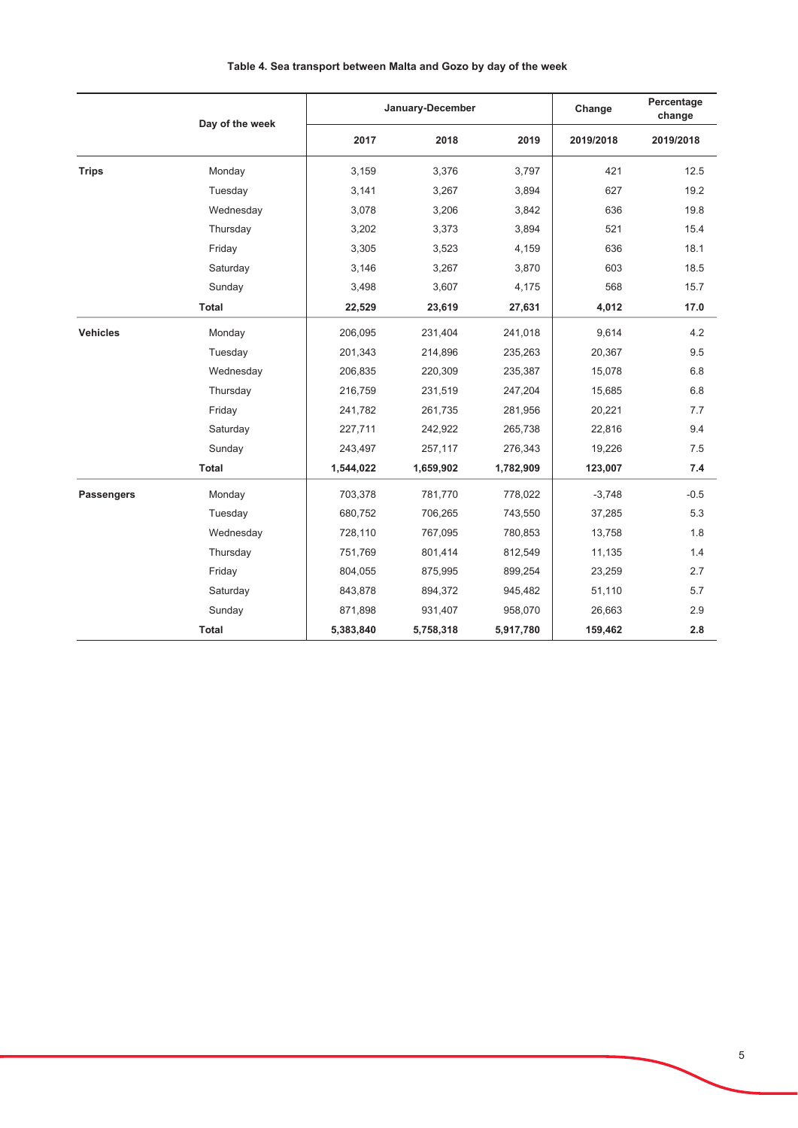# Τ Τ **Change** Percentage **Lanuary-December** Day of the week

|  | Table 4. Sea transport between Malta and Gozo by day of the week |  |  |  |  |
|--|------------------------------------------------------------------|--|--|--|--|
|  |                                                                  |  |  |  |  |

|                   | Day of the week |           | January-December | ⊂nange    | change    |           |
|-------------------|-----------------|-----------|------------------|-----------|-----------|-----------|
|                   |                 | 2017      | 2018             | 2019      | 2019/2018 | 2019/2018 |
| <b>Trips</b>      | Monday          | 3,159     | 3,376            | 3,797     | 421       | 12.5      |
|                   | Tuesday         | 3,141     | 3,267            | 3,894     | 627       | 19.2      |
|                   | Wednesday       | 3,078     | 3,206            | 3,842     | 636       | 19.8      |
|                   | Thursday        | 3,202     | 3,373            | 3,894     | 521       | 15.4      |
|                   | Friday          | 3,305     | 3,523            | 4,159     | 636       | 18.1      |
|                   | Saturday        | 3,146     | 3,267            | 3,870     | 603       | 18.5      |
|                   | Sunday          | 3,498     | 3,607            | 4,175     | 568       | 15.7      |
|                   | <b>Total</b>    | 22,529    | 23,619           | 27,631    | 4,012     | 17.0      |
| <b>Vehicles</b>   | Monday          | 206,095   | 231,404          | 241,018   | 9,614     | 4.2       |
|                   | Tuesday         | 201,343   | 214,896          | 235,263   | 20,367    | 9.5       |
|                   | Wednesday       | 206,835   | 220,309          | 235,387   | 15,078    | 6.8       |
|                   | Thursday        | 216,759   | 231,519          | 247,204   | 15,685    | 6.8       |
|                   | Friday          | 241,782   | 261,735          | 281,956   | 20,221    | 7.7       |
|                   | Saturday        | 227,711   | 242,922          | 265,738   | 22,816    | 9.4       |
|                   | Sunday          | 243,497   | 257,117          | 276,343   | 19,226    | 7.5       |
|                   | Total           | 1,544,022 | 1,659,902        | 1,782,909 | 123,007   | 7.4       |
| <b>Passengers</b> | Monday          | 703,378   | 781,770          | 778,022   | $-3,748$  | $-0.5$    |
|                   | Tuesday         | 680,752   | 706,265          | 743,550   | 37,285    | 5.3       |
|                   | Wednesday       | 728,110   | 767,095          | 780,853   | 13,758    | 1.8       |
|                   | Thursday        | 751,769   | 801,414          | 812,549   | 11,135    | 1.4       |
|                   | Friday          | 804,055   | 875,995          | 899,254   | 23,259    | 2.7       |
|                   | Saturday        | 843,878   | 894,372          | 945,482   | 51,110    | 5.7       |
|                   | Sunday          | 871,898   | 931,407          | 958,070   | 26,663    | 2.9       |
|                   | Total           | 5,383,840 | 5,758,318        | 5,917,780 | 159,462   | 2.8       |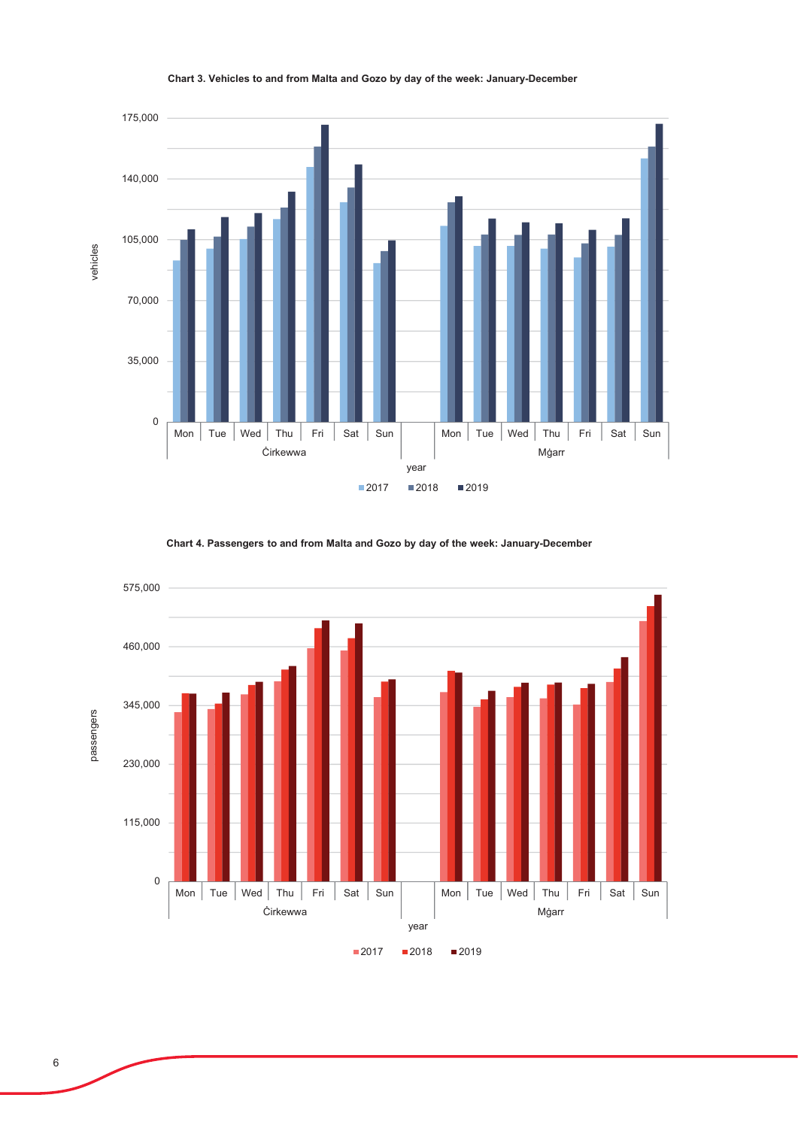

#### Chart 3. Vehicles to and from Malta and Gozo by day of the week: January-December

Chart 4. Passengers to and from Malta and Gozo by day of the week: January-December